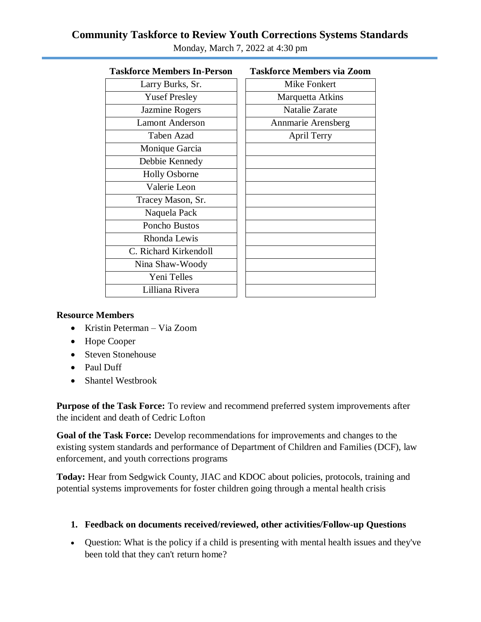# **Community Taskforce to Review Youth Corrections Systems Standards**

| <b>Taskforce Members In-Person</b> | <b>Taskforce Members via Zoom</b> |
|------------------------------------|-----------------------------------|
| Larry Burks, Sr.                   | Mike Fonkert                      |
| <b>Yusef Presley</b>               | Marquetta Atkins                  |
| Jazmine Rogers                     | <b>Natalie Zarate</b>             |
| <b>Lamont Anderson</b>             | Annmarie Arensberg                |
| <b>Taben Azad</b>                  | <b>April Terry</b>                |
| Monique Garcia                     |                                   |
| Debbie Kennedy                     |                                   |
| <b>Holly Osborne</b>               |                                   |
| Valerie Leon                       |                                   |
| Tracey Mason, Sr.                  |                                   |
| Naquela Pack                       |                                   |
| Poncho Bustos                      |                                   |
| Rhonda Lewis                       |                                   |
| C. Richard Kirkendoll              |                                   |
| Nina Shaw-Woody                    |                                   |
| Yeni Telles                        |                                   |
| Lilliana Rivera                    |                                   |

Monday, March 7, 2022 at 4:30 pm

#### **Resource Members**

- Kristin Peterman Via Zoom
- Hope Cooper
- Steven Stonehouse
- Paul Duff
- Shantel Westbrook

**Purpose of the Task Force:** To review and recommend preferred system improvements after the incident and death of Cedric Lofton

**Goal of the Task Force:** Develop recommendations for improvements and changes to the existing system standards and performance of Department of Children and Families (DCF), law enforcement, and youth corrections programs

**Today:** Hear from Sedgwick County, JIAC and KDOC about policies, protocols, training and potential systems improvements for foster children going through a mental health crisis

## **1. Feedback on documents received/reviewed, other activities/Follow-up Questions**

 Question: What is the policy if a child is presenting with mental health issues and they've been told that they can't return home?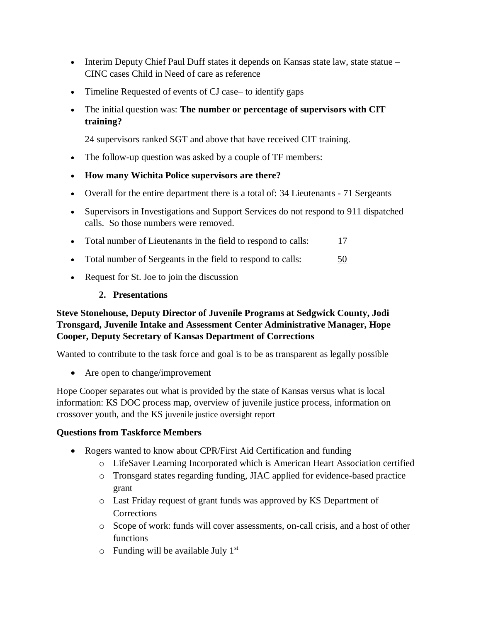- Interim Deputy Chief Paul Duff states it depends on Kansas state law, state statue CINC cases Child in Need of care as reference
- Timeline Requested of events of CJ case– to identify gaps
- The initial question was: **The number or percentage of supervisors with CIT training?**

24 supervisors ranked SGT and above that have received CIT training.

- The follow-up question was asked by a couple of TF members:
- **How many Wichita Police supervisors are there?**
- Overall for the entire department there is a total of: 34 Lieutenants 71 Sergeants
- Supervisors in Investigations and Support Services do not respond to 911 dispatched calls. So those numbers were removed.
- Total number of Lieutenants in the field to respond to calls: 17
- Total number of Sergeants in the field to respond to calls:  $\frac{50}{2}$
- Request for St. Joe to join the discussion

#### **2. Presentations**

## **Steve Stonehouse, Deputy Director of Juvenile Programs at Sedgwick County, Jodi Tronsgard, Juvenile Intake and Assessment Center Administrative Manager, Hope Cooper, Deputy Secretary of Kansas Department of Corrections**

Wanted to contribute to the task force and goal is to be as transparent as legally possible

• Are open to change/improvement

Hope Cooper separates out what is provided by the state of Kansas versus what is local information: KS DOC process map, overview of juvenile justice process, information on crossover youth, and the KS juvenile justice oversight report

#### **Questions from Taskforce Members**

- Rogers wanted to know about CPR/First Aid Certification and funding
	- o LifeSaver Learning Incorporated which is American Heart Association certified
	- o Tronsgard states regarding funding, JIAC applied for evidence-based practice grant
	- o Last Friday request of grant funds was approved by KS Department of **Corrections**
	- o Scope of work: funds will cover assessments, on-call crisis, and a host of other functions
	- $\circ$  Funding will be available July 1<sup>st</sup>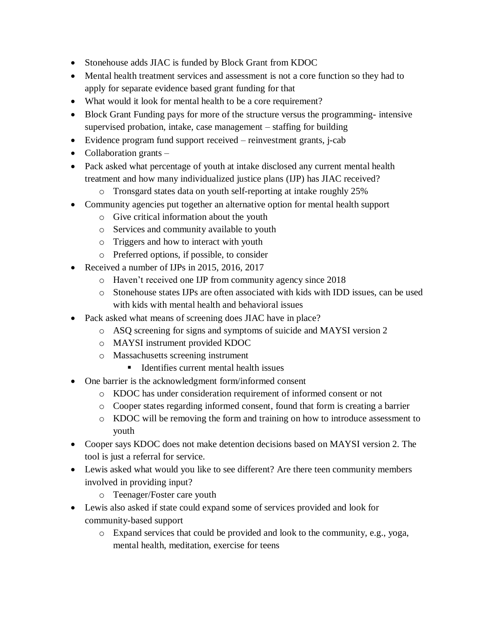- Stonehouse adds JIAC is funded by Block Grant from KDOC
- Mental health treatment services and assessment is not a core function so they had to apply for separate evidence based grant funding for that
- What would it look for mental health to be a core requirement?
- Block Grant Funding pays for more of the structure versus the programming- intensive supervised probation, intake, case management – staffing for building
- Evidence program fund support received reinvestment grants, j-cab
- $\bullet$  Collaboration grants –
- Pack asked what percentage of youth at intake disclosed any current mental health treatment and how many individualized justice plans (IJP) has JIAC received?
	- o Tronsgard states data on youth self-reporting at intake roughly 25%
- Community agencies put together an alternative option for mental health support
	- o Give critical information about the youth
	- o Services and community available to youth
	- o Triggers and how to interact with youth
	- o Preferred options, if possible, to consider
- Received a number of IJPs in 2015, 2016, 2017
	- o Haven't received one IJP from community agency since 2018
	- o Stonehouse states IJPs are often associated with kids with IDD issues, can be used with kids with mental health and behavioral issues
- Pack asked what means of screening does JIAC have in place?
	- o ASQ screening for signs and symptoms of suicide and MAYSI version 2
	- o MAYSI instrument provided KDOC
	- o Massachusetts screening instrument
		- Identifies current mental health issues
- One barrier is the acknowledgment form/informed consent
	- o KDOC has under consideration requirement of informed consent or not
	- o Cooper states regarding informed consent, found that form is creating a barrier
	- o KDOC will be removing the form and training on how to introduce assessment to youth
- Cooper says KDOC does not make detention decisions based on MAYSI version 2. The tool is just a referral for service.
- Lewis asked what would you like to see different? Are there teen community members involved in providing input?
	- o Teenager/Foster care youth
- Lewis also asked if state could expand some of services provided and look for community-based support
	- o Expand services that could be provided and look to the community, e.g., yoga, mental health, meditation, exercise for teens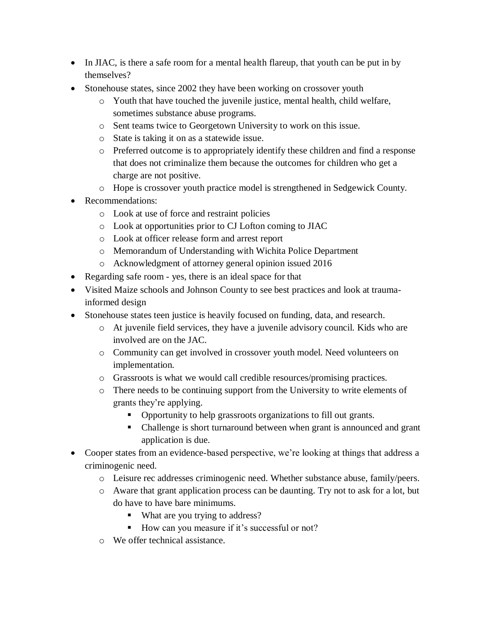- In JIAC, is there a safe room for a mental health flareup, that youth can be put in by themselves?
- Stonehouse states, since 2002 they have been working on crossover youth
	- o Youth that have touched the juvenile justice, mental health, child welfare, sometimes substance abuse programs.
	- o Sent teams twice to Georgetown University to work on this issue.
	- o State is taking it on as a statewide issue.
	- o Preferred outcome is to appropriately identify these children and find a response that does not criminalize them because the outcomes for children who get a charge are not positive.
	- o Hope is crossover youth practice model is strengthened in Sedgewick County.
- Recommendations:
	- o Look at use of force and restraint policies
	- o Look at opportunities prior to CJ Lofton coming to JIAC
	- o Look at officer release form and arrest report
	- o Memorandum of Understanding with Wichita Police Department
	- o Acknowledgment of attorney general opinion issued 2016
- Regarding safe room yes, there is an ideal space for that
- Visited Maize schools and Johnson County to see best practices and look at traumainformed design
- Stonehouse states teen justice is heavily focused on funding, data, and research.
	- o At juvenile field services, they have a juvenile advisory council. Kids who are involved are on the JAC.
	- o Community can get involved in crossover youth model. Need volunteers on implementation.
	- o Grassroots is what we would call credible resources/promising practices.
	- o There needs to be continuing support from the University to write elements of grants they're applying.
		- Opportunity to help grassroots organizations to fill out grants.
		- Challenge is short turnaround between when grant is announced and grant application is due.
- Cooper states from an evidence-based perspective, we're looking at things that address a criminogenic need.
	- o Leisure rec addresses criminogenic need. Whether substance abuse, family/peers.
	- o Aware that grant application process can be daunting. Try not to ask for a lot, but do have to have bare minimums.
		- What are you trying to address?
		- How can you measure if it's successful or not?
	- o We offer technical assistance.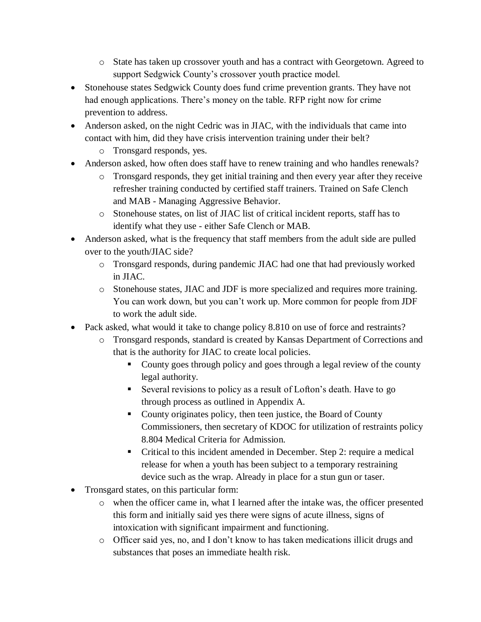- o State has taken up crossover youth and has a contract with Georgetown. Agreed to support Sedgwick County's crossover youth practice model.
- Stonehouse states Sedgwick County does fund crime prevention grants. They have not had enough applications. There's money on the table. RFP right now for crime prevention to address.
- Anderson asked, on the night Cedric was in JIAC, with the individuals that came into contact with him, did they have crisis intervention training under their belt?
	- o Tronsgard responds, yes.
- Anderson asked, how often does staff have to renew training and who handles renewals?
	- o Tronsgard responds, they get initial training and then every year after they receive refresher training conducted by certified staff trainers. Trained on Safe Clench and MAB - Managing Aggressive Behavior.
	- o Stonehouse states, on list of JIAC list of critical incident reports, staff has to identify what they use - either Safe Clench or MAB.
- Anderson asked, what is the frequency that staff members from the adult side are pulled over to the youth/JIAC side?
	- o Tronsgard responds, during pandemic JIAC had one that had previously worked in JIAC.
	- o Stonehouse states, JIAC and JDF is more specialized and requires more training. You can work down, but you can't work up. More common for people from JDF to work the adult side.
- Pack asked, what would it take to change policy 8.810 on use of force and restraints?
	- o Tronsgard responds, standard is created by Kansas Department of Corrections and that is the authority for JIAC to create local policies.
		- County goes through policy and goes through a legal review of the county legal authority.
		- Several revisions to policy as a result of Lofton's death. Have to go through process as outlined in Appendix A.
		- County originates policy, then teen justice, the Board of County Commissioners, then secretary of KDOC for utilization of restraints policy 8.804 Medical Criteria for Admission.
		- Critical to this incident amended in December. Step 2: require a medical release for when a youth has been subject to a temporary restraining device such as the wrap. Already in place for a stun gun or taser.
- Tronsgard states, on this particular form:
	- o when the officer came in, what I learned after the intake was, the officer presented this form and initially said yes there were signs of acute illness, signs of intoxication with significant impairment and functioning.
	- o Officer said yes, no, and I don't know to has taken medications illicit drugs and substances that poses an immediate health risk.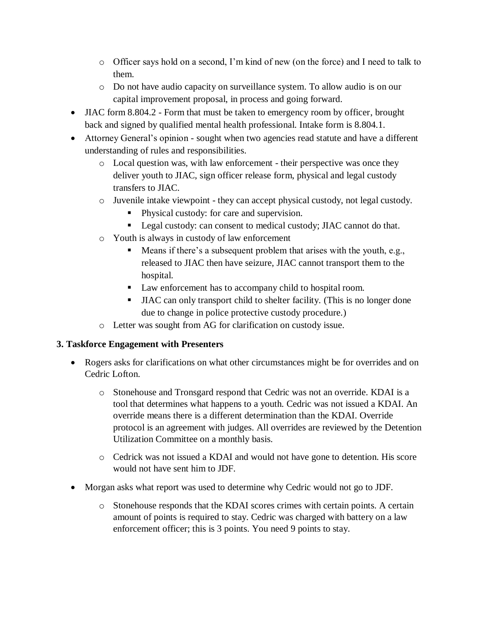- o Officer says hold on a second, I'm kind of new (on the force) and I need to talk to them.
- o Do not have audio capacity on surveillance system. To allow audio is on our capital improvement proposal, in process and going forward.
- JIAC form 8.804.2 Form that must be taken to emergency room by officer, brought back and signed by qualified mental health professional. Intake form is 8.804.1.
- Attorney General's opinion sought when two agencies read statute and have a different understanding of rules and responsibilities.
	- o Local question was, with law enforcement their perspective was once they deliver youth to JIAC, sign officer release form, physical and legal custody transfers to JIAC.
	- o Juvenile intake viewpoint they can accept physical custody, not legal custody.
		- Physical custody: for care and supervision.
		- Legal custody: can consent to medical custody; JIAC cannot do that.
	- o Youth is always in custody of law enforcement
		- Means if there's a subsequent problem that arises with the youth, e.g., released to JIAC then have seizure, JIAC cannot transport them to the hospital.
		- Law enforcement has to accompany child to hospital room.
		- JIAC can only transport child to shelter facility. (This is no longer done due to change in police protective custody procedure.)
	- o Letter was sought from AG for clarification on custody issue.

# **3. Taskforce Engagement with Presenters**

- Rogers asks for clarifications on what other circumstances might be for overrides and on Cedric Lofton.
	- o Stonehouse and Tronsgard respond that Cedric was not an override. KDAI is a tool that determines what happens to a youth. Cedric was not issued a KDAI. An override means there is a different determination than the KDAI. Override protocol is an agreement with judges. All overrides are reviewed by the Detention Utilization Committee on a monthly basis.
	- o Cedrick was not issued a KDAI and would not have gone to detention. His score would not have sent him to JDF.
- Morgan asks what report was used to determine why Cedric would not go to JDF.
	- o Stonehouse responds that the KDAI scores crimes with certain points. A certain amount of points is required to stay. Cedric was charged with battery on a law enforcement officer; this is 3 points. You need 9 points to stay.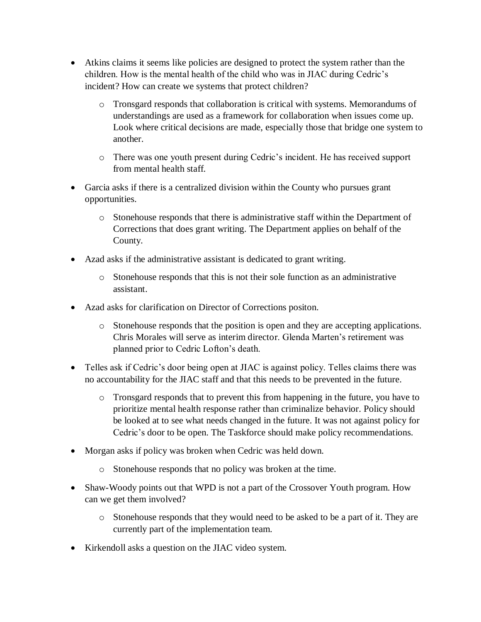- Atkins claims it seems like policies are designed to protect the system rather than the children. How is the mental health of the child who was in JIAC during Cedric's incident? How can create we systems that protect children?
	- o Tronsgard responds that collaboration is critical with systems. Memorandums of understandings are used as a framework for collaboration when issues come up. Look where critical decisions are made, especially those that bridge one system to another.
	- o There was one youth present during Cedric's incident. He has received support from mental health staff.
- Garcia asks if there is a centralized division within the County who pursues grant opportunities.
	- o Stonehouse responds that there is administrative staff within the Department of Corrections that does grant writing. The Department applies on behalf of the County.
- Azad asks if the administrative assistant is dedicated to grant writing.
	- $\circ$  Stonehouse responds that this is not their sole function as an administrative assistant.
- Azad asks for clarification on Director of Corrections positon.
	- o Stonehouse responds that the position is open and they are accepting applications. Chris Morales will serve as interim director. Glenda Marten's retirement was planned prior to Cedric Lofton's death.
- Telles ask if Cedric's door being open at JIAC is against policy. Telles claims there was no accountability for the JIAC staff and that this needs to be prevented in the future.
	- o Tronsgard responds that to prevent this from happening in the future, you have to prioritize mental health response rather than criminalize behavior. Policy should be looked at to see what needs changed in the future. It was not against policy for Cedric's door to be open. The Taskforce should make policy recommendations.
- Morgan asks if policy was broken when Cedric was held down.
	- o Stonehouse responds that no policy was broken at the time.
- Shaw-Woody points out that WPD is not a part of the Crossover Youth program. How can we get them involved?
	- o Stonehouse responds that they would need to be asked to be a part of it. They are currently part of the implementation team.
- Kirkendoll asks a question on the JIAC video system.